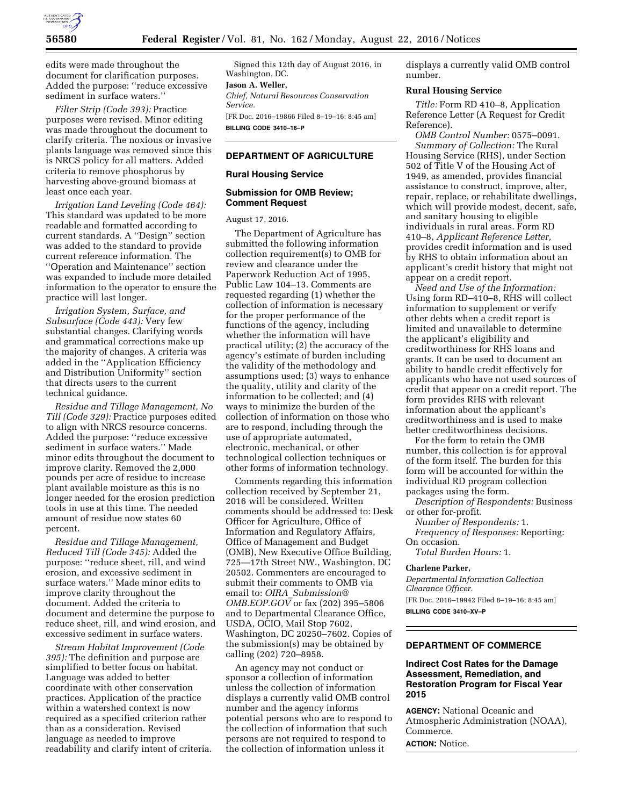

edits were made throughout the document for clarification purposes. Added the purpose: ''reduce excessive sediment in surface waters.''

*Filter Strip (Code 393):* Practice purposes were revised. Minor editing was made throughout the document to clarify criteria. The noxious or invasive plants language was removed since this is NRCS policy for all matters. Added criteria to remove phosphorus by harvesting above-ground biomass at least once each year.

*Irrigation Land Leveling (Code 464):*  This standard was updated to be more readable and formatted according to current standards. A ''Design'' section was added to the standard to provide current reference information. The ''Operation and Maintenance'' section was expanded to include more detailed information to the operator to ensure the practice will last longer.

*Irrigation System, Surface, and Subsurface (Code 443):* Very few substantial changes. Clarifying words and grammatical corrections make up the majority of changes. A criteria was added in the ''Application Efficiency and Distribution Uniformity'' section that directs users to the current technical guidance.

*Residue and Tillage Management, No Till (Code 329):* Practice purposes edited to align with NRCS resource concerns. Added the purpose: ''reduce excessive sediment in surface waters.'' Made minor edits throughout the document to improve clarity. Removed the 2,000 pounds per acre of residue to increase plant available moisture as this is no longer needed for the erosion prediction tools in use at this time. The needed amount of residue now states 60 percent.

*Residue and Tillage Management, Reduced Till (Code 345):* Added the purpose: ''reduce sheet, rill, and wind erosion, and excessive sediment in surface waters.'' Made minor edits to improve clarity throughout the document. Added the criteria to document and determine the purpose to reduce sheet, rill, and wind erosion, and excessive sediment in surface waters.

*Stream Habitat Improvement (Code 395):* The definition and purpose are simplified to better focus on habitat. Language was added to better coordinate with other conservation practices. Application of the practice within a watershed context is now required as a specified criterion rather than as a consideration. Revised language as needed to improve readability and clarify intent of criteria.

Signed this 12th day of August 2016, in Washington, DC.

# **Jason A. Weller,**

*Chief, Natural Resources Conservation Service.* 

[FR Doc. 2016–19866 Filed 8–19–16; 8:45 am] **BILLING CODE 3410–16–P** 

## **DEPARTMENT OF AGRICULTURE**

#### **Rural Housing Service**

#### **Submission for OMB Review; Comment Request**

August 17, 2016.

The Department of Agriculture has submitted the following information collection requirement(s) to OMB for review and clearance under the Paperwork Reduction Act of 1995, Public Law 104–13. Comments are requested regarding (1) whether the collection of information is necessary for the proper performance of the functions of the agency, including whether the information will have practical utility; (2) the accuracy of the agency's estimate of burden including the validity of the methodology and assumptions used; (3) ways to enhance the quality, utility and clarity of the information to be collected; and (4) ways to minimize the burden of the collection of information on those who are to respond, including through the use of appropriate automated, electronic, mechanical, or other technological collection techniques or other forms of information technology.

Comments regarding this information collection received by September 21, 2016 will be considered. Written comments should be addressed to: Desk Officer for Agriculture, Office of Information and Regulatory Affairs, Office of Management and Budget (OMB), New Executive Office Building, 725—17th Street NW., Washington, DC 20502. Commenters are encouraged to submit their comments to OMB via email to: *OIRA*\_*[Submission@](mailto:OIRA_Submission@OMB.EOP.GOV) OMB.EOP.GOV* or fax (202) 395-5806 and to Departmental Clearance Office, USDA, OCIO, Mail Stop 7602, Washington, DC 20250–7602. Copies of the submission(s) may be obtained by calling (202) 720–8958.

An agency may not conduct or sponsor a collection of information unless the collection of information displays a currently valid OMB control number and the agency informs potential persons who are to respond to the collection of information that such persons are not required to respond to the collection of information unless it

displays a currently valid OMB control number.

#### **Rural Housing Service**

*Title:* Form RD 410–8, Application Reference Letter (A Request for Credit Reference).

*OMB Control Number:* 0575–0091. *Summary of Collection:* The Rural Housing Service (RHS), under Section 502 of Title V of the Housing Act of 1949, as amended, provides financial assistance to construct, improve, alter, repair, replace, or rehabilitate dwellings, which will provide modest, decent, safe, and sanitary housing to eligible individuals in rural areas. Form RD 410–8, *Applicant Reference Letter,*  provides credit information and is used by RHS to obtain information about an applicant's credit history that might not appear on a credit report.

*Need and Use of the Information:*  Using form RD–410–8, RHS will collect information to supplement or verify other debts when a credit report is limited and unavailable to determine the applicant's eligibility and creditworthiness for RHS loans and grants. It can be used to document an ability to handle credit effectively for applicants who have not used sources of credit that appear on a credit report. The form provides RHS with relevant information about the applicant's creditworthiness and is used to make better creditworthiness decisions.

For the form to retain the OMB number, this collection is for approval of the form itself. The burden for this form will be accounted for within the individual RD program collection packages using the form.

*Description of Respondents:* Business or other for-profit.

*Number of Respondents:* 1. *Frequency of Responses:* Reporting:

On occasion. *Total Burden Hours:* 1.

#### **Charlene Parker,**

*Departmental Information Collection Clearance Officer.*  [FR Doc. 2016–19942 Filed 8–19–16; 8:45 am] **BILLING CODE 3410–XV–P** 

# **DEPARTMENT OF COMMERCE**

### **Indirect Cost Rates for the Damage Assessment, Remediation, and Restoration Program for Fiscal Year 2015**

**AGENCY:** National Oceanic and Atmospheric Administration (NOAA), Commerce.

**ACTION:** Notice.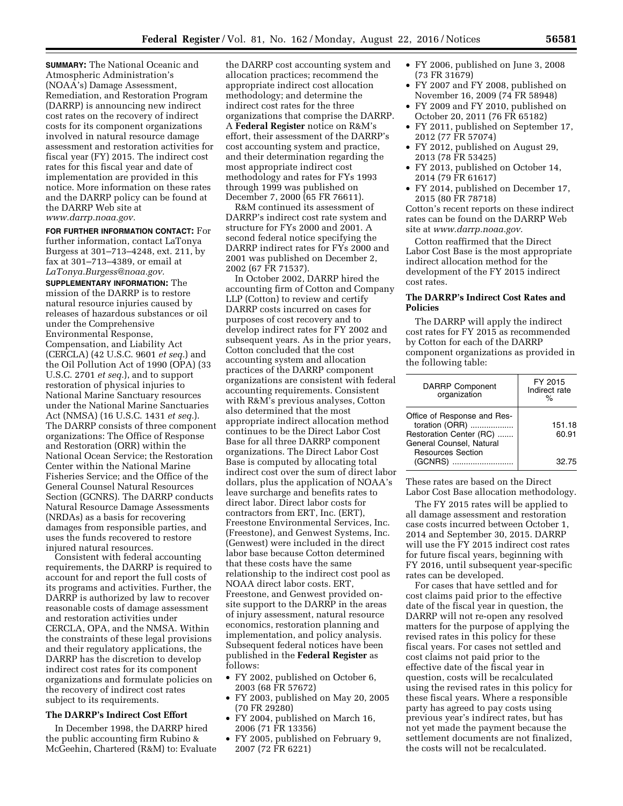**SUMMARY:** The National Oceanic and Atmospheric Administration's (NOAA's) Damage Assessment, Remediation, and Restoration Program (DARRP) is announcing new indirect cost rates on the recovery of indirect costs for its component organizations involved in natural resource damage assessment and restoration activities for fiscal year (FY) 2015. The indirect cost rates for this fiscal year and date of implementation are provided in this notice. More information on these rates and the DARRP policy can be found at the DARRP Web site at *[www.darrp.noaa.gov.](http://www.darrp.noaa.gov)* 

**FOR FURTHER INFORMATION CONTACT:** For further information, contact LaTonya Burgess at 301–713–4248, ext. 211, by fax at 301–713–4389, or email at *[LaTonya.Burgess@noaa.gov.](mailto:LaTonya.Burgess@noaa.gov)* 

**SUPPLEMENTARY INFORMATION:** The mission of the DARRP is to restore natural resource injuries caused by releases of hazardous substances or oil under the Comprehensive Environmental Response, Compensation, and Liability Act (CERCLA) (42 U.S.C. 9601 *et seq.*) and the Oil Pollution Act of 1990 (OPA) (33 U.S.C. 2701 *et seq.*), and to support restoration of physical injuries to National Marine Sanctuary resources under the National Marine Sanctuaries Act (NMSA) (16 U.S.C. 1431 *et seq.*). The DARRP consists of three component organizations: The Office of Response and Restoration (ORR) within the National Ocean Service; the Restoration Center within the National Marine Fisheries Service; and the Office of the General Counsel Natural Resources Section (GCNRS). The DARRP conducts Natural Resource Damage Assessments (NRDAs) as a basis for recovering damages from responsible parties, and uses the funds recovered to restore injured natural resources.

Consistent with federal accounting requirements, the DARRP is required to account for and report the full costs of its programs and activities. Further, the DARRP is authorized by law to recover reasonable costs of damage assessment and restoration activities under CERCLA, OPA, and the NMSA. Within the constraints of these legal provisions and their regulatory applications, the DARRP has the discretion to develop indirect cost rates for its component organizations and formulate policies on the recovery of indirect cost rates subject to its requirements.

## **The DARRP's Indirect Cost Effort**

In December 1998, the DARRP hired the public accounting firm Rubino & McGeehin, Chartered (R&M) to: Evaluate

the DARRP cost accounting system and allocation practices; recommend the appropriate indirect cost allocation methodology; and determine the indirect cost rates for the three organizations that comprise the DARRP. A **Federal Register** notice on R&M's effort, their assessment of the DARRP's cost accounting system and practice, and their determination regarding the most appropriate indirect cost methodology and rates for FYs 1993 through 1999 was published on December 7, 2000 (65 FR 76611).

R&M continued its assessment of DARRP's indirect cost rate system and structure for FYs 2000 and 2001. A second federal notice specifying the DARRP indirect rates for FYs 2000 and 2001 was published on December 2, 2002 (67 FR 71537).

In October 2002, DARRP hired the accounting firm of Cotton and Company LLP (Cotton) to review and certify DARRP costs incurred on cases for purposes of cost recovery and to develop indirect rates for FY 2002 and subsequent years. As in the prior years, Cotton concluded that the cost accounting system and allocation practices of the DARRP component organizations are consistent with federal accounting requirements. Consistent with R&M's previous analyses, Cotton also determined that the most appropriate indirect allocation method continues to be the Direct Labor Cost Base for all three DARRP component organizations. The Direct Labor Cost Base is computed by allocating total indirect cost over the sum of direct labor dollars, plus the application of NOAA's leave surcharge and benefits rates to direct labor. Direct labor costs for contractors from ERT, Inc. (ERT), Freestone Environmental Services, Inc. (Freestone), and Genwest Systems, Inc. (Genwest) were included in the direct labor base because Cotton determined that these costs have the same relationship to the indirect cost pool as NOAA direct labor costs. ERT, Freestone, and Genwest provided onsite support to the DARRP in the areas of injury assessment, natural resource economics, restoration planning and implementation, and policy analysis. Subsequent federal notices have been published in the **Federal Register** as follows:

- FY 2002, published on October 6, 2003 (68 FR 57672)
- FY 2003, published on May 20, 2005 (70 FR 29280)
- FY 2004, published on March 16, 2006 (71 FR 13356)
- FY 2005, published on February 9, 2007 (72 FR 6221)
- FY 2006, published on June 3, 2008 (73 FR 31679)
- FY 2007 and FY 2008, published on November 16, 2009 (74 FR 58948)
- FY 2009 and FY 2010, published on October 20, 2011 (76 FR 65182)
- FY 2011, published on September 17, 2012 (77 FR 57074)
- FY 2012, published on August 29, 2013 (78 FR 53425)
- FY 2013, published on October 14, 2014 (79 FR 61617)
- FY 2014, published on December 17, 2015 (80 FR 78718)

Cotton's recent reports on these indirect rates can be found on the DARRP Web site at *[www.darrp.noaa.gov.](http://www.darrp.noaa.gov)* 

Cotton reaffirmed that the Direct Labor Cost Base is the most appropriate indirect allocation method for the development of the FY 2015 indirect cost rates.

#### **The DARRP's Indirect Cost Rates and Policies**

The DARRP will apply the indirect cost rates for FY 2015 as recommended by Cotton for each of the DARRP component organizations as provided in the following table:

| <b>DARRP Component</b><br>organization                                                                                           | FY 2015<br>Indirect rate<br>∘∕∼ |
|----------------------------------------------------------------------------------------------------------------------------------|---------------------------------|
| Office of Response and Res-<br>toration (ORR)<br>Restoration Center (RC)<br>General Counsel, Natural<br><b>Resources Section</b> | 151.18<br>60.91                 |
| (GCNRS)                                                                                                                          | 32.75                           |

These rates are based on the Direct Labor Cost Base allocation methodology.

The FY 2015 rates will be applied to all damage assessment and restoration case costs incurred between October 1, 2014 and September 30, 2015. DARRP will use the FY 2015 indirect cost rates for future fiscal years, beginning with FY 2016, until subsequent year-specific rates can be developed.

For cases that have settled and for cost claims paid prior to the effective date of the fiscal year in question, the DARRP will not re-open any resolved matters for the purpose of applying the revised rates in this policy for these fiscal years. For cases not settled and cost claims not paid prior to the effective date of the fiscal year in question, costs will be recalculated using the revised rates in this policy for these fiscal years. Where a responsible party has agreed to pay costs using previous year's indirect rates, but has not yet made the payment because the settlement documents are not finalized, the costs will not be recalculated.